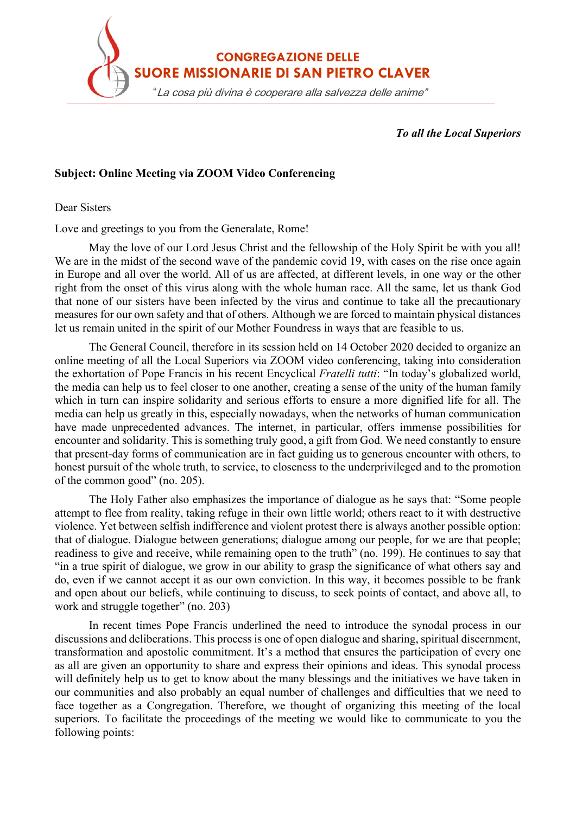

*To all the Local Superiors*

## **Subject: Online Meeting via ZOOM Video Conferencing**

Dear Sisters

Love and greetings to you from the Generalate, Rome!

May the love of our Lord Jesus Christ and the fellowship of the Holy Spirit be with you all! We are in the midst of the second wave of the pandemic covid 19, with cases on the rise once again in Europe and all over the world. All of us are affected, at different levels, in one way or the other right from the onset of this virus along with the whole human race. All the same, let us thank God that none of our sisters have been infected by the virus and continue to take all the precautionary measures for our own safety and that of others. Although we are forced to maintain physical distances let us remain united in the spirit of our Mother Foundress in ways that are feasible to us.

The General Council, therefore in its session held on 14 October 2020 decided to organize an online meeting of all the Local Superiors via ZOOM video conferencing, taking into consideration the exhortation of Pope Francis in his recent Encyclical *Fratelli tutti*: "In today's globalized world, the media can help us to feel closer to one another, creating a sense of the unity of the human family which in turn can inspire solidarity and serious efforts to ensure a more dignified life for all. The media can help us greatly in this, especially nowadays, when the networks of human communication have made unprecedented advances. The internet, in particular, offers immense possibilities for encounter and solidarity. This is something truly good, a gift from God. We need constantly to ensure that present-day forms of communication are in fact guiding us to generous encounter with others, to honest pursuit of the whole truth, to service, to closeness to the underprivileged and to the promotion of the common good" (no. 205).

The Holy Father also emphasizes the importance of dialogue as he says that: "Some people attempt to flee from reality, taking refuge in their own little world; others react to it with destructive violence. Yet between selfish indifference and violent protest there is always another possible option: that of dialogue. Dialogue between generations; dialogue among our people, for we are that people; readiness to give and receive, while remaining open to the truth" (no. 199). He continues to say that "in a true spirit of dialogue, we grow in our ability to grasp the significance of what others say and do, even if we cannot accept it as our own conviction. In this way, it becomes possible to be frank and open about our beliefs, while continuing to discuss, to seek points of contact, and above all, to work and struggle together" (no. 203)

In recent times Pope Francis underlined the need to introduce the synodal process in our discussions and deliberations. This process is one of open dialogue and sharing, spiritual discernment, transformation and apostolic commitment. It's a method that ensures the participation of every one as all are given an opportunity to share and express their opinions and ideas. This synodal process will definitely help us to get to know about the many blessings and the initiatives we have taken in our communities and also probably an equal number of challenges and difficulties that we need to face together as a Congregation. Therefore, we thought of organizing this meeting of the local superiors. To facilitate the proceedings of the meeting we would like to communicate to you the following points: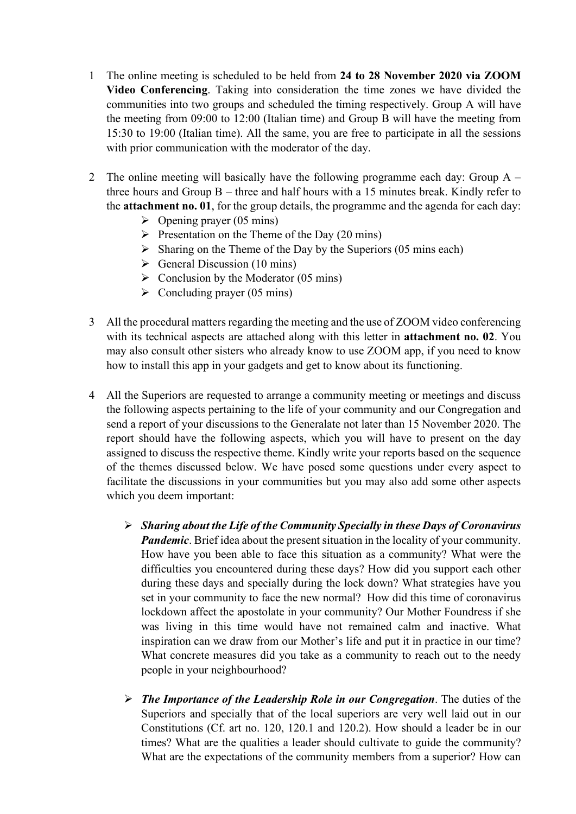- 1 The online meeting is scheduled to be held from **24 to 28 November 2020 via ZOOM Video Conferencing**. Taking into consideration the time zones we have divided the communities into two groups and scheduled the timing respectively. Group A will have the meeting from 09:00 to 12:00 (Italian time) and Group B will have the meeting from 15:30 to 19:00 (Italian time). All the same, you are free to participate in all the sessions with prior communication with the moderator of the day.
- 2 The online meeting will basically have the following programme each day: Group A three hours and Group  $B$  – three and half hours with a 15 minutes break. Kindly refer to the **attachment no. 01**, for the group details, the programme and the agenda for each day:
	- $\triangleright$  Opening prayer (05 mins)
	- $\triangleright$  Presentation on the Theme of the Day (20 mins)
	- $\triangleright$  Sharing on the Theme of the Day by the Superiors (05 mins each)
	- $\triangleright$  General Discussion (10 mins)
	- $\triangleright$  Conclusion by the Moderator (05 mins)
	- $\triangleright$  Concluding prayer (05 mins)
- 3 All the procedural matters regarding the meeting and the use of ZOOM video conferencing with its technical aspects are attached along with this letter in **attachment no. 02**. You may also consult other sisters who already know to use ZOOM app, if you need to know how to install this app in your gadgets and get to know about its functioning.
- 4 All the Superiors are requested to arrange a community meeting or meetings and discuss the following aspects pertaining to the life of your community and our Congregation and send a report of your discussions to the Generalate not later than 15 November 2020. The report should have the following aspects, which you will have to present on the day assigned to discuss the respective theme. Kindly write your reports based on the sequence of the themes discussed below. We have posed some questions under every aspect to facilitate the discussions in your communities but you may also add some other aspects which you deem important:
	- *Sharing about the Life of the Community Specially in these Days of Coronavirus Pandemic*. Brief idea about the present situation in the locality of your community. How have you been able to face this situation as a community? What were the difficulties you encountered during these days? How did you support each other during these days and specially during the lock down? What strategies have you set in your community to face the new normal? How did this time of coronavirus lockdown affect the apostolate in your community? Our Mother Foundress if she was living in this time would have not remained calm and inactive. What inspiration can we draw from our Mother's life and put it in practice in our time? What concrete measures did you take as a community to reach out to the needy people in your neighbourhood?
	- *The Importance of the Leadership Role in our Congregation*. The duties of the Superiors and specially that of the local superiors are very well laid out in our Constitutions (Cf. art no. 120, 120.1 and 120.2). How should a leader be in our times? What are the qualities a leader should cultivate to guide the community? What are the expectations of the community members from a superior? How can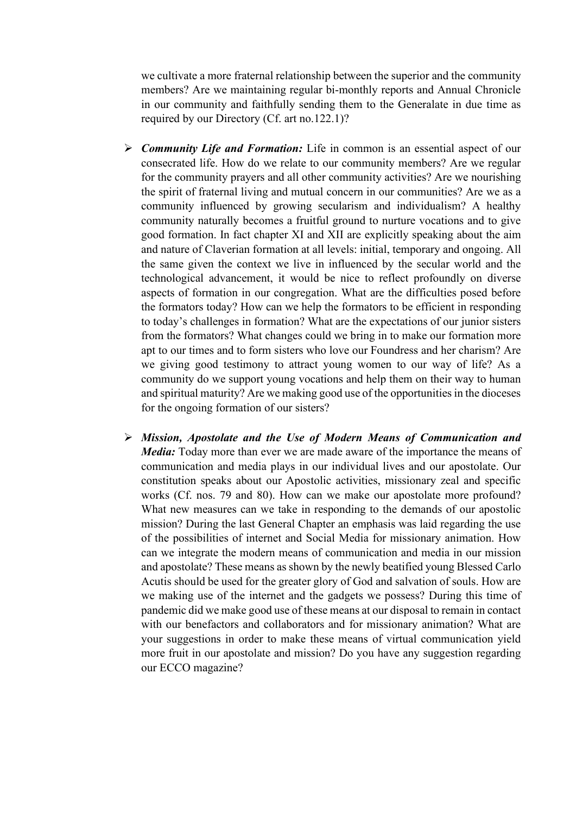we cultivate a more fraternal relationship between the superior and the community members? Are we maintaining regular bi-monthly reports and Annual Chronicle in our community and faithfully sending them to the Generalate in due time as required by our Directory (Cf. art no.122.1)?

- *Community Life and Formation:* Life in common is an essential aspect of our consecrated life. How do we relate to our community members? Are we regular for the community prayers and all other community activities? Are we nourishing the spirit of fraternal living and mutual concern in our communities? Are we as a community influenced by growing secularism and individualism? A healthy community naturally becomes a fruitful ground to nurture vocations and to give good formation. In fact chapter XI and XII are explicitly speaking about the aim and nature of Claverian formation at all levels: initial, temporary and ongoing. All the same given the context we live in influenced by the secular world and the technological advancement, it would be nice to reflect profoundly on diverse aspects of formation in our congregation. What are the difficulties posed before the formators today? How can we help the formators to be efficient in responding to today's challenges in formation? What are the expectations of our junior sisters from the formators? What changes could we bring in to make our formation more apt to our times and to form sisters who love our Foundress and her charism? Are we giving good testimony to attract young women to our way of life? As a community do we support young vocations and help them on their way to human and spiritual maturity? Are we making good use of the opportunities in the dioceses for the ongoing formation of our sisters?
- *Mission, Apostolate and the Use of Modern Means of Communication and Media:* Today more than ever we are made aware of the importance the means of communication and media plays in our individual lives and our apostolate. Our constitution speaks about our Apostolic activities, missionary zeal and specific works (Cf. nos. 79 and 80). How can we make our apostolate more profound? What new measures can we take in responding to the demands of our apostolic mission? During the last General Chapter an emphasis was laid regarding the use of the possibilities of internet and Social Media for missionary animation. How can we integrate the modern means of communication and media in our mission and apostolate? These means as shown by the newly beatified young Blessed Carlo Acutis should be used for the greater glory of God and salvation of souls. How are we making use of the internet and the gadgets we possess? During this time of pandemic did we make good use of these means at our disposal to remain in contact with our benefactors and collaborators and for missionary animation? What are your suggestions in order to make these means of virtual communication yield more fruit in our apostolate and mission? Do you have any suggestion regarding our ECCO magazine?